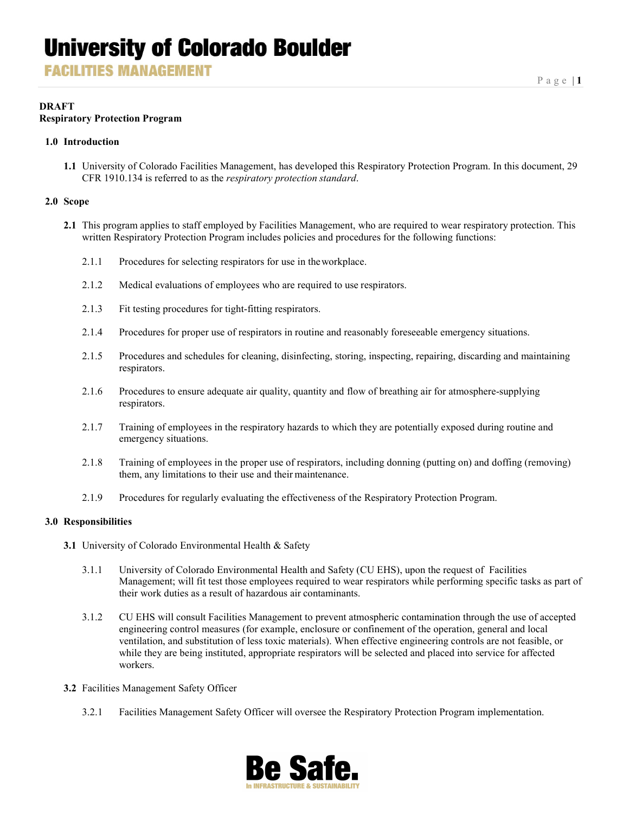**FACILITIES MANAGEMENT** 

#### **DRAFT Respiratory Protection Program**

#### **1.0 Introduction**

**1.1** University of Colorado Facilities Management, has developed this Respiratory Protection Program. In this document, 29 CFR 1910.134 is referred to as the *respiratory protection standard*.

#### **2.0 Scope**

- **2.1** This program applies to staff employed by Facilities Management, who are required to wear respiratory protection. This written Respiratory Protection Program includes policies and procedures for the following functions:
	- 2.1.1 Procedures for selecting respirators for use in theworkplace.
	- 2.1.2 Medical evaluations of employees who are required to use respirators.
	- 2.1.3 Fit testing procedures for tight-fitting respirators.
	- 2.1.4 Procedures for proper use of respirators in routine and reasonably foreseeable emergency situations.
	- 2.1.5 Procedures and schedules for cleaning, disinfecting, storing, inspecting, repairing, discarding and maintaining respirators.
	- 2.1.6 Procedures to ensure adequate air quality, quantity and flow of breathing air for atmosphere-supplying respirators.
	- 2.1.7 Training of employees in the respiratory hazards to which they are potentially exposed during routine and emergency situations.
	- 2.1.8 Training of employees in the proper use of respirators, including donning (putting on) and doffing (removing) them, any limitations to their use and their maintenance.
	- 2.1.9 Procedures for regularly evaluating the effectiveness of the Respiratory Protection Program.

#### **3.0 Responsibilities**

- **3.1** University of Colorado Environmental Health & Safety
	- 3.1.1 University of Colorado Environmental Health and Safety (CU EHS), upon the request of Facilities Management; will fit test those employees required to wear respirators while performing specific tasks as part of their work duties as a result of hazardous air contaminants.
	- 3.1.2 CU EHS will consult Facilities Management to prevent atmospheric contamination through the use of accepted engineering control measures (for example, enclosure or confinement of the operation, general and local ventilation, and substitution of less toxic materials). When effective engineering controls are not feasible, or while they are being instituted, appropriate respirators will be selected and placed into service for affected workers.
- **3.2** Facilities Management Safety Officer
	- 3.2.1 Facilities Management Safety Officer will oversee the Respiratory Protection Program implementation.

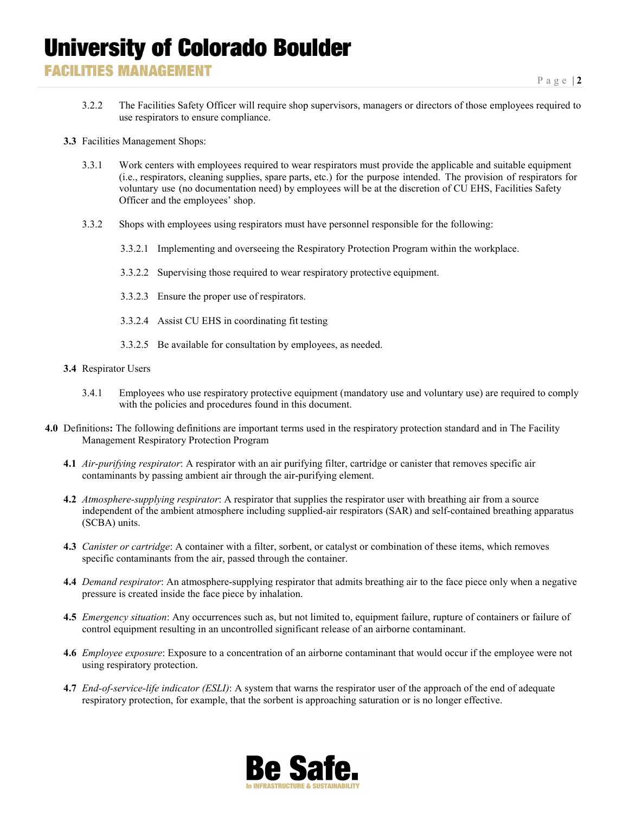- 3.2.2 The Facilities Safety Officer will require shop supervisors, managers or directors of those employees required to use respirators to ensure compliance.
- **3.3** Facilities Management Shops:
	- 3.3.1 Work centers with employees required to wear respirators must provide the applicable and suitable equipment (i.e., respirators, cleaning supplies, spare parts, etc.) for the purpose intended. The provision of respirators for voluntary use (no documentation need) by employees will be at the discretion of CU EHS, Facilities Safety Officer and the employees' shop.
	- 3.3.2 Shops with employees using respirators must have personnel responsible for the following:
		- 3.3.2.1 Implementing and overseeing the Respiratory Protection Program within the workplace.
		- 3.3.2.2 Supervising those required to wear respiratory protective equipment.
		- 3.3.2.3 Ensure the proper use of respirators.
		- 3.3.2.4 Assist CU EHS in coordinating fit testing
		- 3.3.2.5 Be available for consultation by employees, as needed.
- **3.4** Respirator Users
	- 3.4.1 Employees who use respiratory protective equipment (mandatory use and voluntary use) are required to comply with the policies and procedures found in this document.
- **4.0** Definitions**:** The following definitions are important terms used in the respiratory protection standard and in The Facility Management Respiratory Protection Program
	- **4.1** *Air-purifying respirator*: A respirator with an air purifying filter, cartridge or canister that removes specific air contaminants by passing ambient air through the air-purifying element.
	- **4.2** *Atmosphere-supplying respirator*: A respirator that supplies the respirator user with breathing air from a source independent of the ambient atmosphere including supplied-air respirators (SAR) and self-contained breathing apparatus (SCBA) units.
	- **4.3** *Canister or cartridge*: A container with a filter, sorbent, or catalyst or combination of these items, which removes specific contaminants from the air, passed through the container.
	- **4.4** *Demand respirator*: An atmosphere-supplying respirator that admits breathing air to the face piece only when a negative pressure is created inside the face piece by inhalation.
	- **4.5** *Emergency situation*: Any occurrences such as, but not limited to, equipment failure, rupture of containers or failure of control equipment resulting in an uncontrolled significant release of an airborne contaminant.
	- **4.6** *Employee exposure*: Exposure to a concentration of an airborne contaminant that would occur if the employee were not using respiratory protection.
	- **4.7** *End-of-service-life indicator (ESLI)*: A system that warns the respirator user of the approach of the end of adequate respiratory protection, for example, that the sorbent is approaching saturation or is no longer effective.

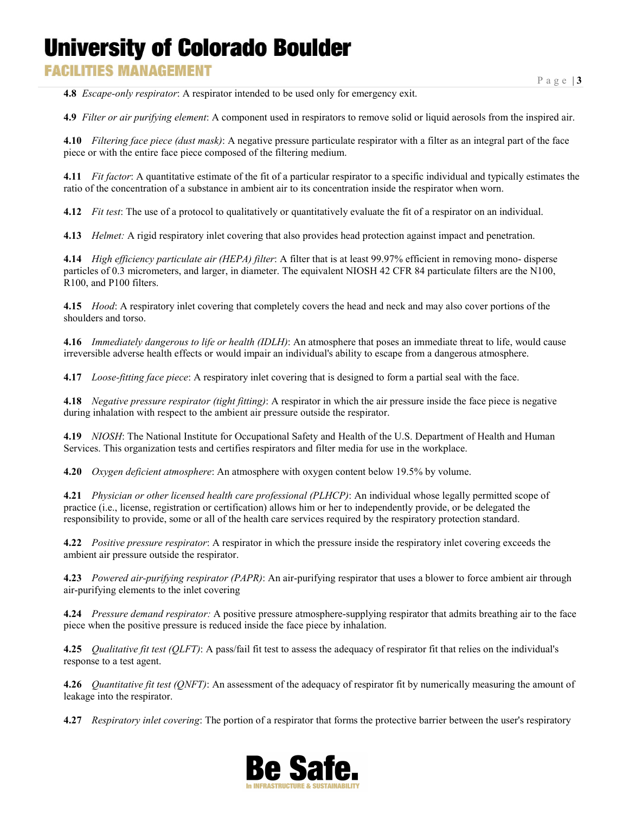### **FACILITIES MANAGEMENT**

**4.8** *Escape-only respirator*: A respirator intended to be used only for emergency exit.

**4.9** *Filter or air purifying element*: A component used in respirators to remove solid or liquid aerosols from the inspired air.

**4.10** *Filtering face piece (dust mask)*: A negative pressure particulate respirator with a filter as an integral part of the face piece or with the entire face piece composed of the filtering medium.

**4.11** *Fit factor*: A quantitative estimate of the fit of a particular respirator to a specific individual and typically estimates the ratio of the concentration of a substance in ambient air to its concentration inside the respirator when worn.

**4.12** *Fit test*: The use of a protocol to qualitatively or quantitatively evaluate the fit of a respirator on an individual.

**4.13** *Helmet:* A rigid respiratory inlet covering that also provides head protection against impact and penetration.

**4.14** *High efficiency particulate air (HEPA) filter*: A filter that is at least 99.97% efficient in removing mono- disperse particles of 0.3 micrometers, and larger, in diameter. The equivalent NIOSH 42 CFR 84 particulate filters are the N100, R100, and P100 filters.

**4.15** *Hood*: A respiratory inlet covering that completely covers the head and neck and may also cover portions of the shoulders and torso.

**4.16** *Immediately dangerous to life or health (IDLH)*: An atmosphere that poses an immediate threat to life, would cause irreversible adverse health effects or would impair an individual's ability to escape from a dangerous atmosphere.

**4.17** *Loose-fitting face piece*: A respiratory inlet covering that is designed to form a partial seal with the face.

**4.18** *Negative pressure respirator (tight fitting)*: A respirator in which the air pressure inside the face piece is negative during inhalation with respect to the ambient air pressure outside the respirator.

**4.19** *NIOSH*: The National Institute for Occupational Safety and Health of the U.S. Department of Health and Human Services. This organization tests and certifies respirators and filter media for use in the workplace.

**4.20** *Oxygen deficient atmosphere*: An atmosphere with oxygen content below 19.5% by volume.

**4.21** *Physician or other licensed health care professional (PLHCP)*: An individual whose legally permitted scope of practice (i.e., license, registration or certification) allows him or her to independently provide, or be delegated the responsibility to provide, some or all of the health care services required by the respiratory protection standard.

**4.22** *Positive pressure respirator*: A respirator in which the pressure inside the respiratory inlet covering exceeds the ambient air pressure outside the respirator.

**4.23** *Powered air-purifying respirator (PAPR)*: An air-purifying respirator that uses a blower to force ambient air through air-purifying elements to the inlet covering

**4.24** *Pressure demand respirator:* A positive pressure atmosphere-supplying respirator that admits breathing air to the face piece when the positive pressure is reduced inside the face piece by inhalation.

**4.25** *Qualitative fit test (QLFT)*: A pass/fail fit test to assess the adequacy of respirator fit that relies on the individual's response to a test agent.

**4.26** *Quantitative fit test (QNFT)*: An assessment of the adequacy of respirator fit by numerically measuring the amount of leakage into the respirator.

**4.27** *Respiratory inlet covering*: The portion of a respirator that forms the protective barrier between the user's respiratory

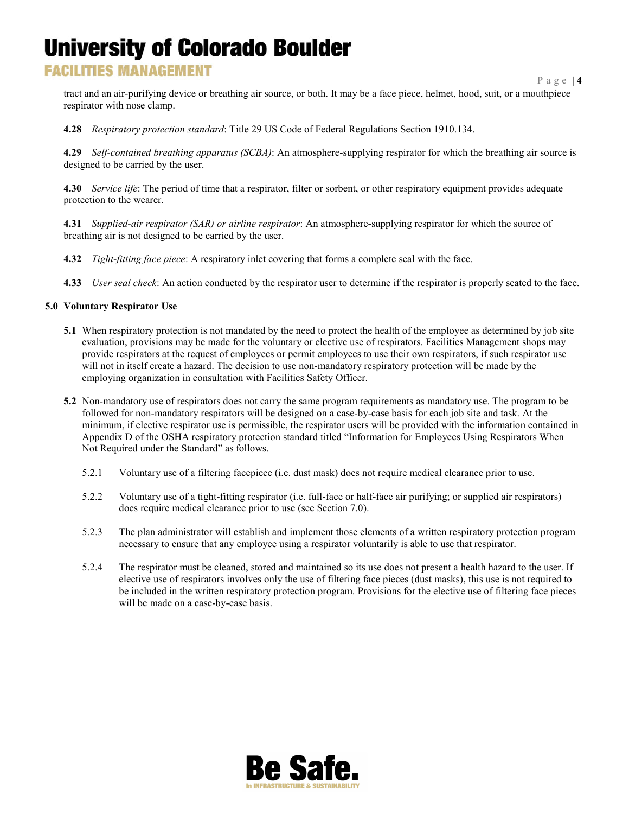### **FACILITIES MANAGEMENT**

tract and an air-purifying device or breathing air source, or both. It may be a face piece, helmet, hood, suit, or a mouthpiece respirator with nose clamp.

**4.28** *Respiratory protection standard*: Title 29 US Code of Federal Regulations Section 1910.134.

**4.29** *Self-contained breathing apparatus (SCBA)*: An atmosphere-supplying respirator for which the breathing air source is designed to be carried by the user.

**4.30** *Service life*: The period of time that a respirator, filter or sorbent, or other respiratory equipment provides adequate protection to the wearer.

**4.31** *Supplied-air respirator (SAR) or airline respirator*: An atmosphere-supplying respirator for which the source of breathing air is not designed to be carried by the user.

- **4.32** *Tight-fitting face piece*: A respiratory inlet covering that forms a complete seal with the face.
- **4.33** *User seal check*: An action conducted by the respirator user to determine if the respirator is properly seated to the face.

#### **5.0 Voluntary Respirator Use**

- **5.1** When respiratory protection is not mandated by the need to protect the health of the employee as determined by job site evaluation, provisions may be made for the voluntary or elective use of respirators. Facilities Management shops may provide respirators at the request of employees or permit employees to use their own respirators, if such respirator use will not in itself create a hazard. The decision to use non-mandatory respiratory protection will be made by the employing organization in consultation with Facilities Safety Officer.
- **5.2** Non-mandatory use of respirators does not carry the same program requirements as mandatory use. The program to be followed for non-mandatory respirators will be designed on a case-by-case basis for each job site and task. At the minimum, if elective respirator use is permissible, the respirator users will be provided with the information contained in Appendix D of the OSHA respiratory protection standard titled "Information for Employees Using Respirators When Not Required under the Standard" as follows.
	- 5.2.1 Voluntary use of a filtering facepiece (i.e. dust mask) does not require medical clearance prior to use.
	- 5.2.2 Voluntary use of a tight-fitting respirator (i.e. full-face or half-face air purifying; or supplied air respirators) does require medical clearance prior to use (see Section 7.0).
	- 5.2.3 The plan administrator will establish and implement those elements of a written respiratory protection program necessary to ensure that any employee using a respirator voluntarily is able to use that respirator.
	- 5.2.4 The respirator must be cleaned, stored and maintained so its use does not present a health hazard to the user. If elective use of respirators involves only the use of filtering face pieces (dust masks), this use is not required to be included in the written respiratory protection program. Provisions for the elective use of filtering face pieces will be made on a case-by-case basis.

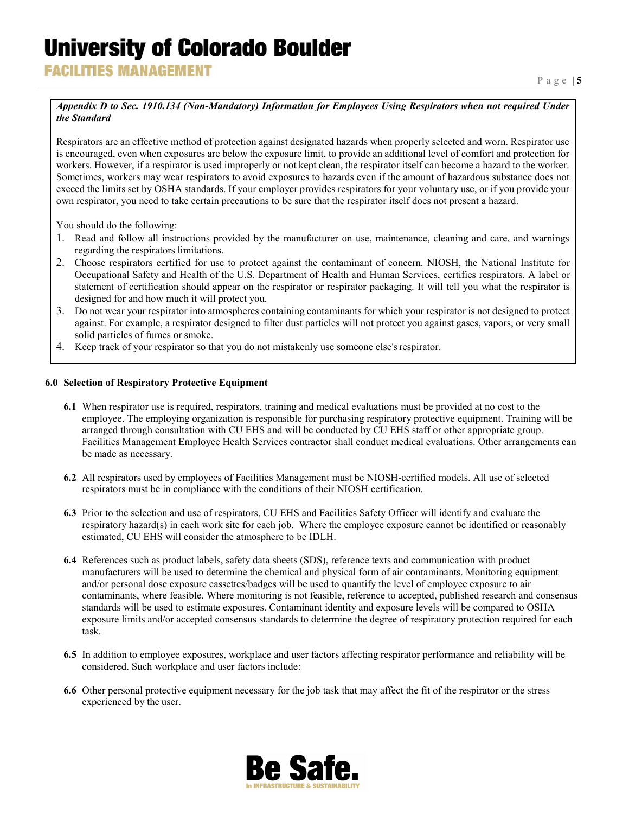**FACILITIES MANAGEMENT** 

#### *Appendix D to Sec. 1910.134 (Non-Mandatory) Information for Employees Using Respirators when not required Under the Standard*

Respirators are an effective method of protection against designated hazards when properly selected and worn. Respirator use is encouraged, even when exposures are below the exposure limit, to provide an additional level of comfort and protection for workers. However, if a respirator is used improperly or not kept clean, the respirator itself can become a hazard to the worker. Sometimes, workers may wear respirators to avoid exposures to hazards even if the amount of hazardous substance does not exceed the limits set by OSHA standards. If your employer provides respirators for your voluntary use, or if you provide your own respirator, you need to take certain precautions to be sure that the respirator itself does not present a hazard.

You should do the following:

- 1. Read and follow all instructions provided by the manufacturer on use, maintenance, cleaning and care, and warnings regarding the respirators limitations.
- 2. Choose respirators certified for use to protect against the contaminant of concern. NIOSH, the National Institute for Occupational Safety and Health of the U.S. Department of Health and Human Services, certifies respirators. A label or statement of certification should appear on the respirator or respirator packaging. It will tell you what the respirator is designed for and how much it will protect you.
- 3. Do not wear your respirator into atmospheres containing contaminants for which your respirator is not designed to protect against. For example, a respirator designed to filter dust particles will not protect you against gases, vapors, or very small solid particles of fumes or smoke.
- 4. Keep track of your respirator so that you do not mistakenly use someone else'srespirator.

#### **6.0 Selection of Respiratory Protective Equipment**

- **6.1** When respirator use is required, respirators, training and medical evaluations must be provided at no cost to the employee. The employing organization is responsible for purchasing respiratory protective equipment. Training will be arranged through consultation with CU EHS and will be conducted by CU EHS staff or other appropriate group. Facilities Management Employee Health Services contractor shall conduct medical evaluations. Other arrangements can be made as necessary.
- **6.2** All respirators used by employees of Facilities Management must be NIOSH-certified models. All use of selected respirators must be in compliance with the conditions of their NIOSH certification.
- **6.3** Prior to the selection and use of respirators, CU EHS and Facilities Safety Officer will identify and evaluate the respiratory hazard(s) in each work site for each job. Where the employee exposure cannot be identified or reasonably estimated, CU EHS will consider the atmosphere to be IDLH.
- **6.4** References such as product labels, safety data sheets (SDS), reference texts and communication with product manufacturers will be used to determine the chemical and physical form of air contaminants. Monitoring equipment and/or personal dose exposure cassettes/badges will be used to quantify the level of employee exposure to air contaminants, where feasible. Where monitoring is not feasible, reference to accepted, published research and consensus standards will be used to estimate exposures. Contaminant identity and exposure levels will be compared to OSHA exposure limits and/or accepted consensus standards to determine the degree of respiratory protection required for each task.
- **6.5** In addition to employee exposures, workplace and user factors affecting respirator performance and reliability will be considered. Such workplace and user factors include:
- **6.6** Other personal protective equipment necessary for the job task that may affect the fit of the respirator or the stress experienced by the user.

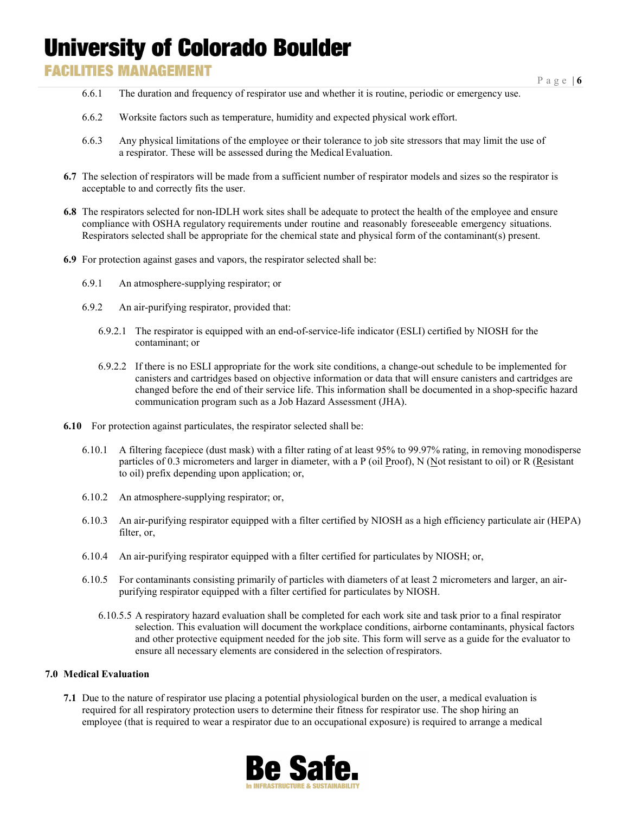## **FACILITIES MANAGEMENT**

- 6.6.1 The duration and frequency of respirator use and whether it is routine, periodic or emergency use.
- 6.6.2 Worksite factors such as temperature, humidity and expected physical work effort.
- 6.6.3 Any physical limitations of the employee or their tolerance to job site stressors that may limit the use of a respirator. These will be assessed during the Medical Evaluation.
- **6.7** The selection of respirators will be made from a sufficient number of respirator models and sizes so the respirator is acceptable to and correctly fits the user.
- **6.8** The respirators selected for non-IDLH work sites shall be adequate to protect the health of the employee and ensure compliance with OSHA regulatory requirements under routine and reasonably foreseeable emergency situations. Respirators selected shall be appropriate for the chemical state and physical form of the contaminant(s) present.
- **6.9** For protection against gases and vapors, the respirator selected shall be:
	- 6.9.1 An atmosphere-supplying respirator; or
	- 6.9.2 An air-purifying respirator, provided that:
		- 6.9.2.1 The respirator is equipped with an end-of-service-life indicator (ESLI) certified by NIOSH for the contaminant; or
		- 6.9.2.2 If there is no ESLI appropriate for the work site conditions, a change-out schedule to be implemented for canisters and cartridges based on objective information or data that will ensure canisters and cartridges are changed before the end of their service life. This information shall be documented in a shop-specific hazard communication program such as a Job Hazard Assessment (JHA).
- **6.10** For protection against particulates, the respirator selected shall be:
	- 6.10.1 A filtering facepiece (dust mask) with a filter rating of at least 95% to 99.97% rating, in removing monodisperse particles of 0.3 micrometers and larger in diameter, with a P (oil Proof), N (Not resistant to oil) or R (Resistant to oil) prefix depending upon application; or,
	- 6.10.2 An atmosphere-supplying respirator; or,
	- 6.10.3 An air-purifying respirator equipped with a filter certified by NIOSH as a high efficiency particulate air (HEPA) filter, or,
	- 6.10.4 An air-purifying respirator equipped with a filter certified for particulates by NIOSH; or,
	- 6.10.5 For contaminants consisting primarily of particles with diameters of at least 2 micrometers and larger, an airpurifying respirator equipped with a filter certified for particulates by NIOSH.
		- 6.10.5.5 A respiratory hazard evaluation shall be completed for each work site and task prior to a final respirator selection. This evaluation will document the workplace conditions, airborne contaminants, physical factors and other protective equipment needed for the job site. This form will serve as a guide for the evaluator to ensure all necessary elements are considered in the selection ofrespirators.

#### **7.0 Medical Evaluation**

**7.1** Due to the nature of respirator use placing a potential physiological burden on the user, a medical evaluation is required for all respiratory protection users to determine their fitness for respirator use. The shop hiring an employee (that is required to wear a respirator due to an occupational exposure) is required to arrange a medical

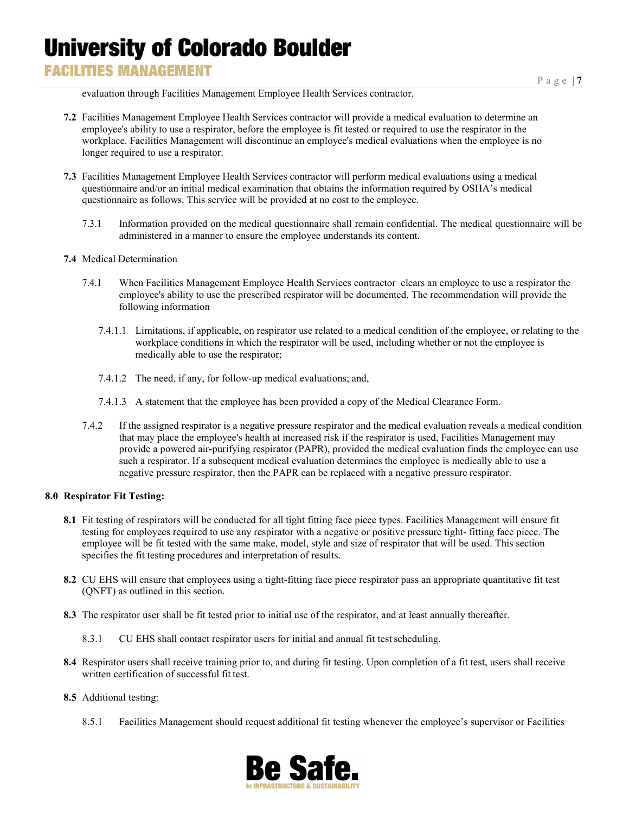### **FACILITIES MANAGEMENT**

evaluation through Facilities Management Employee Health Services contractor.

- **7.2** Facilities Management Employee Health Services contractor will provide a medical evaluation to determine an employee's ability to use a respirator, before the employee is fit tested or required to use the respirator in the workplace. Facilities Management will discontinue an employee's medical evaluations when the employee is no longer required to use a respirator.
- **7.3** Facilities Management Employee Health Services contractor will perform medical evaluations using a medical questionnaire and/or an initial medical examination that obtains the information required by OSHA's medical questionnaire as follows. This service will be provided at no cost to the employee.
	- 7.3.1 Information provided on the medical questionnaire shall remain confidential. The medical questionnaire will be administered in a manner to ensure the employee understands its content.
- **7.4** Medical Determination
	- 7.4.1 When Facilities Management Employee Health Services contractor clears an employee to use a respirator the employee's ability to use the prescribed respirator will be documented. The recommendation will provide the following information
		- 7.4.1.1 Limitations, if applicable, on respirator use related to a medical condition of the employee, or relating to the workplace conditions in which the respirator will be used, including whether or not the employee is medically able to use the respirator;
		- 7.4.1.2 The need, if any, for follow-up medical evaluations; and,
		- 7.4.1.3 A statement that the employee has been provided a copy of the Medical Clearance Form.
	- 7.4.2 If the assigned respirator is a negative pressure respirator and the medical evaluation reveals a medical condition that may place the employee's health at increased risk if the respirator is used, Facilities Management may provide a powered air-purifying respirator (PAPR), provided the medical evaluation finds the employee can use such a respirator. If a subsequent medical evaluation determines the employee is medically able to use a negative pressure respirator, then the PAPR can be replaced with a negative pressure respirator.

#### **8.0 Respirator Fit Testing:**

- **8.1** Fit testing of respirators will be conducted for all tight fitting face piece types. Facilities Management will ensure fit testing for employees required to use any respirator with a negative or positive pressure tight- fitting face piece. The employee will be fit tested with the same make, model, style and size of respirator that will be used. This section specifies the fit testing procedures and interpretation of results.
- **8.2** CU EHS will ensure that employees using a tight-fitting face piece respirator pass an appropriate quantitative fit test (QNFT) as outlined in this section.
- **8.3** The respirator user shall be fit tested prior to initial use of the respirator, and at least annually thereafter.
	- 8.3.1 CU EHS shall contact respirator users for initial and annual fit test scheduling.
- **8.4** Respirator users shall receive training prior to, and during fit testing. Upon completion of a fit test, users shall receive written certification of successful fit test.
- **8.5** Additional testing:
	- 8.5.1 Facilities Management should request additional fit testing whenever the employee's supervisor or Facilities

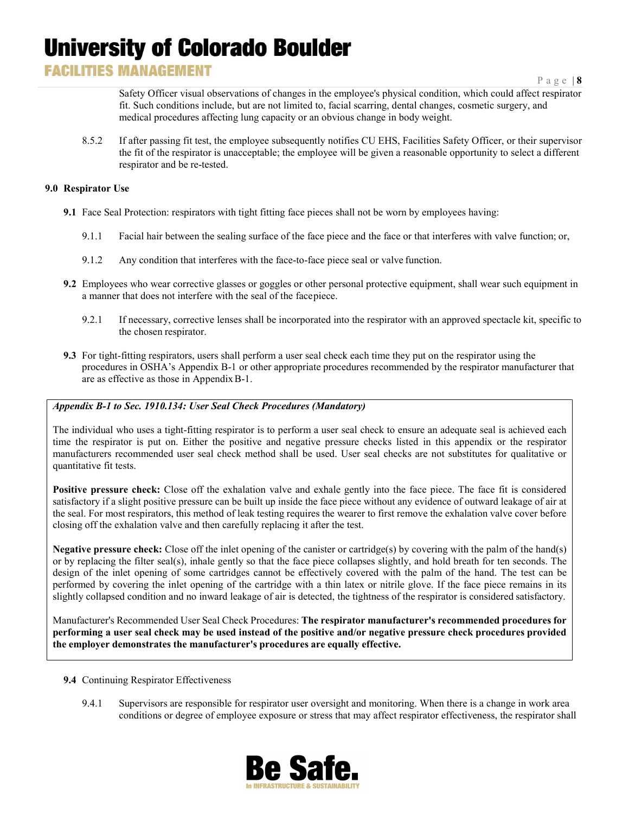## **FACILITIES MANAGEMENT**

Safety Officer visual observations of changes in the employee's physical condition, which could affect respirator fit. Such conditions include, but are not limited to, facial scarring, dental changes, cosmetic surgery, and medical procedures affecting lung capacity or an obvious change in body weight.

8.5.2 If after passing fit test, the employee subsequently notifies CU EHS, Facilities Safety Officer, or their supervisor the fit of the respirator is unacceptable; the employee will be given a reasonable opportunity to select a different respirator and be re-tested.

#### **9.0 Respirator Use**

- **9.1** Face Seal Protection: respirators with tight fitting face pieces shall not be worn by employees having:
	- 9.1.1 Facial hair between the sealing surface of the face piece and the face or that interferes with valve function; or,
	- 9.1.2 Any condition that interferes with the face-to-face piece seal or valve function.
- **9.2** Employees who wear corrective glasses or goggles or other personal protective equipment, shall wear such equipment in a manner that does not interfere with the seal of the facepiece.
	- 9.2.1 If necessary, corrective lenses shall be incorporated into the respirator with an approved spectacle kit, specific to the chosen respirator.
- **9.3** For tight-fitting respirators, users shall perform a user seal check each time they put on the respirator using the procedures in OSHA's Appendix B-1 or other appropriate procedures recommended by the respirator manufacturer that are as effective as those in AppendixB-1.

#### *Appendix B-1 to Sec. 1910.134: User Seal Check Procedures (Mandatory)*

The individual who uses a tight-fitting respirator is to perform a user seal check to ensure an adequate seal is achieved each time the respirator is put on. Either the positive and negative pressure checks listed in this appendix or the respirator manufacturers recommended user seal check method shall be used. User seal checks are not substitutes for qualitative or quantitative fit tests.

**Positive pressure check:** Close off the exhalation valve and exhale gently into the face piece. The face fit is considered satisfactory if a slight positive pressure can be built up inside the face piece without any evidence of outward leakage of air at the seal. For most respirators, this method of leak testing requires the wearer to first remove the exhalation valve cover before closing off the exhalation valve and then carefully replacing it after the test.

**Negative pressure check:** Close off the inlet opening of the canister or cartridge(s) by covering with the palm of the hand(s) or by replacing the filter seal(s), inhale gently so that the face piece collapses slightly, and hold breath for ten seconds. The design of the inlet opening of some cartridges cannot be effectively covered with the palm of the hand. The test can be performed by covering the inlet opening of the cartridge with a thin latex or nitrile glove. If the face piece remains in its slightly collapsed condition and no inward leakage of air is detected, the tightness of the respirator is considered satisfactory.

Manufacturer's Recommended User Seal Check Procedures: **The respirator manufacturer's recommended procedures for performing a user seal check may be used instead of the positive and/or negative pressure check procedures provided the employer demonstrates the manufacturer's procedures are equally effective.**

#### **9.4** Continuing Respirator Effectiveness

9.4.1 Supervisors are responsible for respirator user oversight and monitoring. When there is a change in work area conditions or degree of employee exposure or stress that may affect respirator effectiveness, the respirator shall

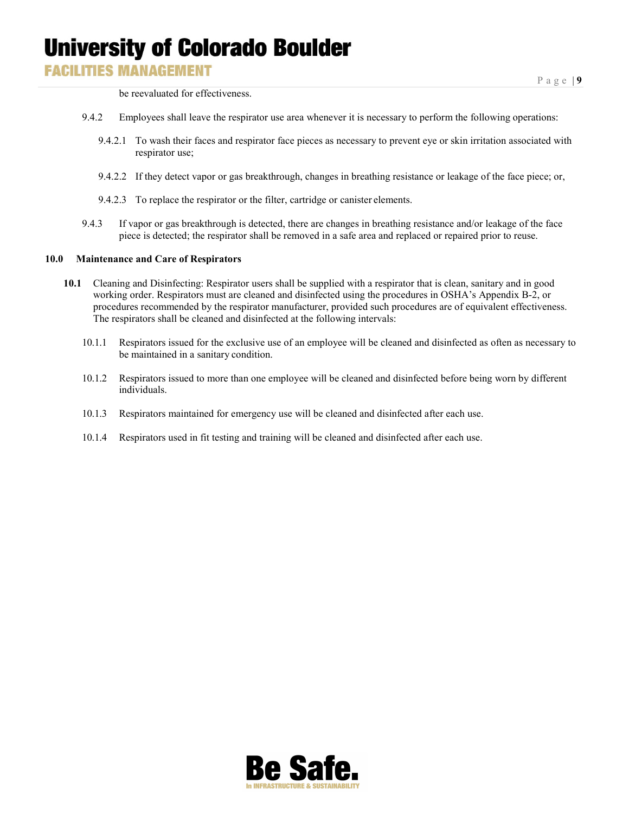### **FACILITIES MANAGEMENT**

be reevaluated for effectiveness.

- 9.4.2 Employees shall leave the respirator use area whenever it is necessary to perform the following operations:
	- 9.4.2.1 To wash their faces and respirator face pieces as necessary to prevent eye or skin irritation associated with respirator use;
	- 9.4.2.2 If they detect vapor or gas breakthrough, changes in breathing resistance or leakage of the face piece; or,
	- 9.4.2.3 To replace the respirator or the filter, cartridge or canister elements.
- 9.4.3 If vapor or gas breakthrough is detected, there are changes in breathing resistance and/or leakage of the face piece is detected; the respirator shall be removed in a safe area and replaced or repaired prior to reuse.

#### **10.0 Maintenance and Care of Respirators**

- **10.1** Cleaning and Disinfecting: Respirator users shall be supplied with a respirator that is clean, sanitary and in good working order. Respirators must are cleaned and disinfected using the procedures in OSHA's Appendix B-2, or procedures recommended by the respirator manufacturer, provided such procedures are of equivalent effectiveness. The respirators shall be cleaned and disinfected at the following intervals:
	- 10.1.1 Respirators issued for the exclusive use of an employee will be cleaned and disinfected as often as necessary to be maintained in a sanitary condition.
	- 10.1.2 Respirators issued to more than one employee will be cleaned and disinfected before being worn by different individuals.
	- 10.1.3 Respirators maintained for emergency use will be cleaned and disinfected after each use.
	- 10.1.4 Respirators used in fit testing and training will be cleaned and disinfected after each use.

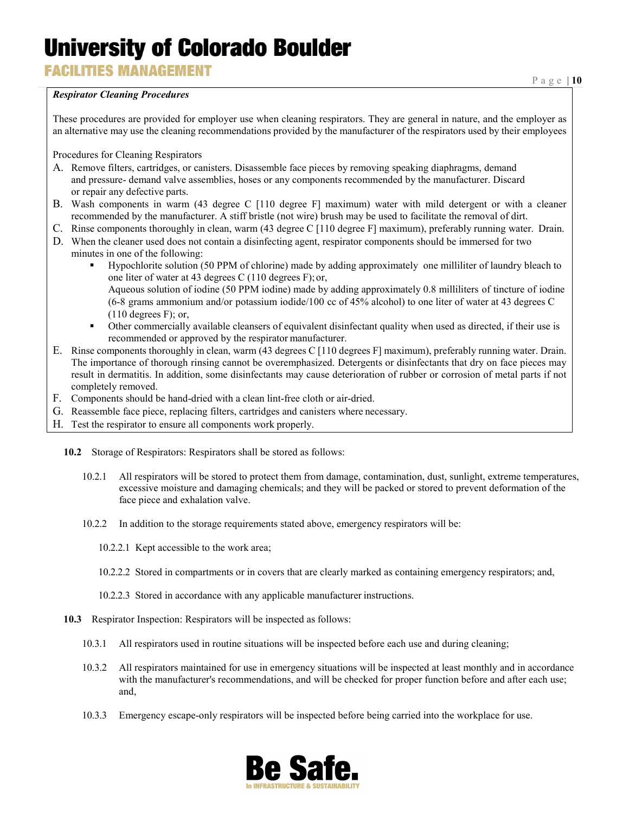**FACILITIES MANAGEMENT** 

#### *Respirator Cleaning Procedures*

Page | **10**

These procedures are provided for employer use when cleaning respirators. They are general in nature, and the employer as an alternative may use the cleaning recommendations provided by the manufacturer of the respirators used by their employees

Procedures for Cleaning Respirators

- A. Remove filters, cartridges, or canisters. Disassemble face pieces by removing speaking diaphragms, demand and pressure- demand valve assemblies, hoses or any components recommended by the manufacturer. Discard or repair any defective parts.
- B. Wash components in warm (43 degree C [110 degree F] maximum) water with mild detergent or with a cleaner recommended by the manufacturer. A stiff bristle (not wire) brush may be used to facilitate the removal of dirt.
- C. Rinse components thoroughly in clean, warm (43 degree C [110 degree F] maximum), preferably running water. Drain.
- D. When the cleaner used does not contain a disinfecting agent, respirator components should be immersed for two minutes in one of the following:
	- Hypochlorite solution (50 PPM of chlorine) made by adding approximately one milliliter of laundry bleach to one liter of water at 43 degrees C (110 degrees F); or,

Aqueous solution of iodine (50 PPM iodine) made by adding approximately 0.8 milliliters of tincture of iodine (6-8 grams ammonium and/or potassium iodide/100 cc of 45% alcohol) to one liter of water at 43 degrees C  $(110 \text{ degrees F});$  or,

- Other commercially available cleansers of equivalent disinfectant quality when used as directed, if their use is recommended or approved by the respirator manufacturer.
- E. Rinse components thoroughly in clean, warm (43 degrees C [110 degrees F] maximum), preferably running water. Drain. The importance of thorough rinsing cannot be overemphasized. Detergents or disinfectants that dry on face pieces may result in dermatitis. In addition, some disinfectants may cause deterioration of rubber or corrosion of metal parts if not completely removed.
- F. Components should be hand-dried with a clean lint-free cloth or air-dried.
- G. Reassemble face piece, replacing filters, cartridges and canisters where necessary.
- H. Test the respirator to ensure all components work properly.
	- **10.2** Storage of Respirators: Respirators shall be stored as follows:
		- 10.2.1 All respirators will be stored to protect them from damage, contamination, dust, sunlight, extreme temperatures, excessive moisture and damaging chemicals; and they will be packed or stored to prevent deformation of the face piece and exhalation valve.
		- 10.2.2 In addition to the storage requirements stated above, emergency respirators will be:
			- 10.2.2.1 Kept accessible to the work area;
			- 10.2.2.2 Stored in compartments or in covers that are clearly marked as containing emergency respirators; and,
			- 10.2.2.3 Stored in accordance with any applicable manufacturer instructions.
	- **10.3** Respirator Inspection: Respirators will be inspected as follows:
		- 10.3.1 All respirators used in routine situations will be inspected before each use and during cleaning;
		- 10.3.2 All respirators maintained for use in emergency situations will be inspected at least monthly and in accordance with the manufacturer's recommendations, and will be checked for proper function before and after each use; and,
		- 10.3.3 Emergency escape-only respirators will be inspected before being carried into the workplace for use.

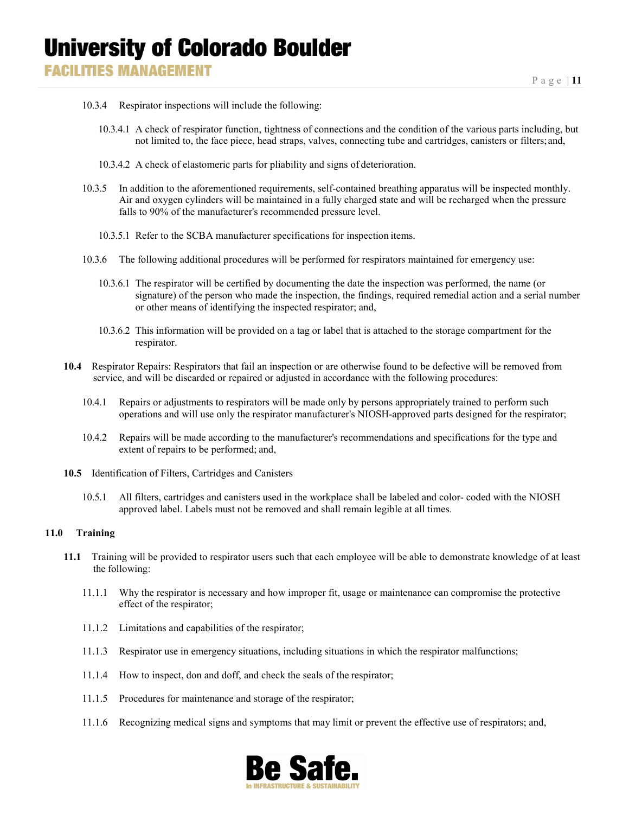- 10.3.4 Respirator inspections will include the following:
	- 10.3.4.1 A check of respirator function, tightness of connections and the condition of the various parts including, but not limited to, the face piece, head straps, valves, connecting tube and cartridges, canisters or filters;and,
	- 10.3.4.2 A check of elastomeric parts for pliability and signs of deterioration.
- 10.3.5 In addition to the aforementioned requirements, self-contained breathing apparatus will be inspected monthly. Air and oxygen cylinders will be maintained in a fully charged state and will be recharged when the pressure falls to 90% of the manufacturer's recommended pressure level.
	- 10.3.5.1 Refer to the SCBA manufacturer specifications for inspection items.
- 10.3.6 The following additional procedures will be performed for respirators maintained for emergency use:
	- 10.3.6.1 The respirator will be certified by documenting the date the inspection was performed, the name (or signature) of the person who made the inspection, the findings, required remedial action and a serial number or other means of identifying the inspected respirator; and,
	- 10.3.6.2 This information will be provided on a tag or label that is attached to the storage compartment for the respirator.
- **10.4** Respirator Repairs: Respirators that fail an inspection or are otherwise found to be defective will be removed from service, and will be discarded or repaired or adjusted in accordance with the following procedures:
	- 10.4.1 Repairs or adjustments to respirators will be made only by persons appropriately trained to perform such operations and will use only the respirator manufacturer's NIOSH-approved parts designed for the respirator;
	- 10.4.2 Repairs will be made according to the manufacturer's recommendations and specifications for the type and extent of repairs to be performed; and,
- **10.5** Identification of Filters, Cartridges and Canisters
	- 10.5.1 All filters, cartridges and canisters used in the workplace shall be labeled and color- coded with the NIOSH approved label. Labels must not be removed and shall remain legible at all times.

#### **11.0 Training**

- **11.1** Training will be provided to respirator users such that each employee will be able to demonstrate knowledge of at least the following:
	- 11.1.1 Why the respirator is necessary and how improper fit, usage or maintenance can compromise the protective effect of the respirator;
	- 11.1.2 Limitations and capabilities of the respirator;
	- 11.1.3 Respirator use in emergency situations, including situations in which the respirator malfunctions;
	- 11.1.4 How to inspect, don and doff, and check the seals of the respirator;
	- 11.1.5 Procedures for maintenance and storage of the respirator;
	- 11.1.6 Recognizing medical signs and symptoms that may limit or prevent the effective use of respirators; and,

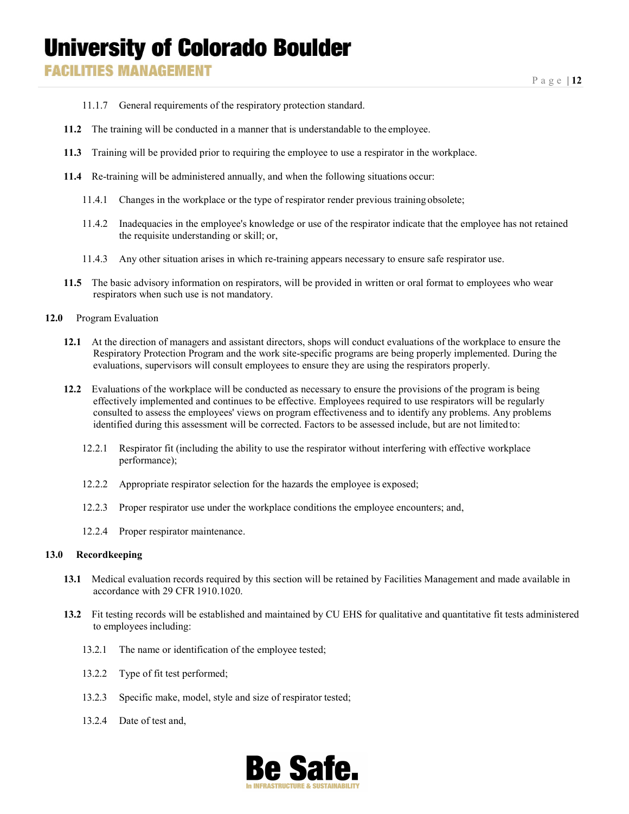**FACILITIES MANAGEMENT** 

- 11.1.7 General requirements of the respiratory protection standard.
- **11.2** The training will be conducted in a manner that is understandable to the employee.
- **11.3** Training will be provided prior to requiring the employee to use a respirator in the workplace.
- **11.4** Re-training will be administered annually, and when the following situations occur:
	- 11.4.1 Changes in the workplace or the type of respirator render previous training obsolete;
	- 11.4.2 Inadequacies in the employee's knowledge or use of the respirator indicate that the employee has not retained the requisite understanding or skill; or,
	- 11.4.3 Any other situation arises in which re-training appears necessary to ensure safe respirator use.
- **11.5** The basic advisory information on respirators, will be provided in written or oral format to employees who wear respirators when such use is not mandatory.
- **12.0** Program Evaluation
	- **12.1** At the direction of managers and assistant directors, shops will conduct evaluations of the workplace to ensure the Respiratory Protection Program and the work site-specific programs are being properly implemented. During the evaluations, supervisors will consult employees to ensure they are using the respirators properly.
	- **12.2** Evaluations of the workplace will be conducted as necessary to ensure the provisions of the program is being effectively implemented and continues to be effective. Employees required to use respirators will be regularly consulted to assess the employees' views on program effectiveness and to identify any problems. Any problems identified during this assessment will be corrected. Factors to be assessed include, but are not limitedto:
		- 12.2.1 Respirator fit (including the ability to use the respirator without interfering with effective workplace performance);
		- 12.2.2 Appropriate respirator selection for the hazards the employee is exposed;
		- 12.2.3 Proper respirator use under the workplace conditions the employee encounters; and,
		- 12.2.4 Proper respirator maintenance.

#### **13.0 Recordkeeping**

- **13.1** Medical evaluation records required by this section will be retained by Facilities Management and made available in accordance with 29 CFR1910.1020.
- **13.2** Fit testing records will be established and maintained by CU EHS for qualitative and quantitative fit tests administered to employees including:
	- 13.2.1 The name or identification of the employee tested;
	- 13.2.2 Type of fit test performed;
	- 13.2.3 Specific make, model, style and size of respirator tested;
	- 13.2.4 Date of test and,